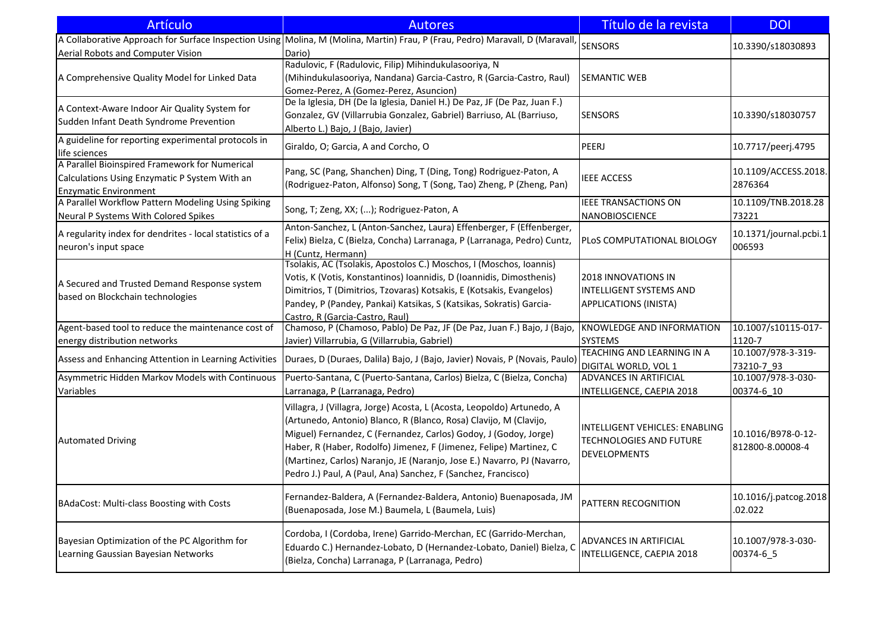| <b>Artículo</b>                                                                                                                 | <b>Autores</b>                                                                                                                                                                                                                                                                                                                                                                                                                    | Título de la revista                                                                    | <b>DOI</b>                             |
|---------------------------------------------------------------------------------------------------------------------------------|-----------------------------------------------------------------------------------------------------------------------------------------------------------------------------------------------------------------------------------------------------------------------------------------------------------------------------------------------------------------------------------------------------------------------------------|-----------------------------------------------------------------------------------------|----------------------------------------|
| Aerial Robots and Computer Vision                                                                                               | A Collaborative Approach for Surface Inspection Using Molina, M (Molina, Martin) Frau, P (Frau, Pedro) Maravall, D (Maravall,<br>Dario)                                                                                                                                                                                                                                                                                           | <b>SENSORS</b>                                                                          | 10.3390/s18030893                      |
| A Comprehensive Quality Model for Linked Data                                                                                   | Radulovic, F (Radulovic, Filip) Mihindukulasooriya, N<br>(Mihindukulasooriya, Nandana) Garcia-Castro, R (Garcia-Castro, Raul)<br>Gomez-Perez, A (Gomez-Perez, Asuncion)                                                                                                                                                                                                                                                           | <b>SEMANTIC WEB</b>                                                                     |                                        |
| A Context-Aware Indoor Air Quality System for<br>Sudden Infant Death Syndrome Prevention                                        | De la Iglesia, DH (De la Iglesia, Daniel H.) De Paz, JF (De Paz, Juan F.)<br>Gonzalez, GV (Villarrubia Gonzalez, Gabriel) Barriuso, AL (Barriuso,<br>Alberto L.) Bajo, J (Bajo, Javier)                                                                                                                                                                                                                                           | <b>SENSORS</b>                                                                          | 10.3390/s18030757                      |
| A guideline for reporting experimental protocols in<br>life sciences                                                            | Giraldo, O; Garcia, A and Corcho, O                                                                                                                                                                                                                                                                                                                                                                                               | PEERJ                                                                                   | 10.7717/peerj.4795                     |
| A Parallel Bioinspired Framework for Numerical<br>Calculations Using Enzymatic P System With an<br><b>Enzymatic Environment</b> | Pang, SC (Pang, Shanchen) Ding, T (Ding, Tong) Rodriguez-Paton, A<br>(Rodriguez-Paton, Alfonso) Song, T (Song, Tao) Zheng, P (Zheng, Pan)                                                                                                                                                                                                                                                                                         | IEEE ACCESS                                                                             | 10.1109/ACCESS.2018.<br>2876364        |
| A Parallel Workflow Pattern Modeling Using Spiking<br>Neural P Systems With Colored Spikes                                      | Song, T; Zeng, XX; (); Rodriguez-Paton, A                                                                                                                                                                                                                                                                                                                                                                                         | IEEE TRANSACTIONS ON<br>NANOBIOSCIENCE                                                  | 10.1109/TNB.2018.28<br>73221           |
| A regularity index for dendrites - local statistics of a<br>neuron's input space                                                | Anton-Sanchez, L (Anton-Sanchez, Laura) Effenberger, F (Effenberger,<br>Felix) Bielza, C (Bielza, Concha) Larranaga, P (Larranaga, Pedro) Cuntz,<br>H (Cuntz, Hermann)                                                                                                                                                                                                                                                            | <b>PLOS COMPUTATIONAL BIOLOGY</b>                                                       | 10.1371/journal.pcbi.1<br>006593       |
| A Secured and Trusted Demand Response system<br>based on Blockchain technologies                                                | Tsolakis, AC (Tsolakis, Apostolos C.) Moschos, I (Moschos, Ioannis)<br>Votis, K (Votis, Konstantinos) Ioannidis, D (Ioannidis, Dimosthenis)<br>Dimitrios, T (Dimitrios, Tzovaras) Kotsakis, E (Kotsakis, Evangelos)<br>Pandey, P (Pandey, Pankai) Katsikas, S (Katsikas, Sokratis) Garcia-<br>Castro, R (Garcia-Castro, Raul)                                                                                                     | 2018 INNOVATIONS IN<br><b>INTELLIGENT SYSTEMS AND</b><br>APPLICATIONS (INISTA)          |                                        |
| Agent-based tool to reduce the maintenance cost of                                                                              | Chamoso, P (Chamoso, Pablo) De Paz, JF (De Paz, Juan F.) Bajo, J (Bajo,                                                                                                                                                                                                                                                                                                                                                           | <b>KNOWLEDGE AND INFORMATION</b>                                                        | 10.1007/s10115-017-                    |
| energy distribution networks                                                                                                    | Javier) Villarrubia, G (Villarrubia, Gabriel)                                                                                                                                                                                                                                                                                                                                                                                     | <b>SYSTEMS</b><br>TEACHING AND LEARNING IN A                                            | 1120-7<br>10.1007/978-3-319-           |
| Assess and Enhancing Attention in Learning Activities                                                                           | Duraes, D (Duraes, Dalila) Bajo, J (Bajo, Javier) Novais, P (Novais, Paulo)                                                                                                                                                                                                                                                                                                                                                       | DIGITAL WORLD, VOL 1                                                                    | 73210-7 93                             |
| Asymmetric Hidden Markov Models with Continuous<br>Variables                                                                    | Puerto-Santana, C (Puerto-Santana, Carlos) Bielza, C (Bielza, Concha)<br>Larranaga, P (Larranaga, Pedro)                                                                                                                                                                                                                                                                                                                          | ADVANCES IN ARTIFICIAL<br>INTELLIGENCE, CAEPIA 2018                                     | 10.1007/978-3-030-<br>00374-6 10       |
| <b>Automated Driving</b>                                                                                                        | Villagra, J (Villagra, Jorge) Acosta, L (Acosta, Leopoldo) Artunedo, A<br>(Artunedo, Antonio) Blanco, R (Blanco, Rosa) Clavijo, M (Clavijo,<br>Miguel) Fernandez, C (Fernandez, Carlos) Godoy, J (Godoy, Jorge)<br>Haber, R (Haber, Rodolfo) Jimenez, F (Jimenez, Felipe) Martinez, C<br>(Martinez, Carlos) Naranjo, JE (Naranjo, Jose E.) Navarro, PJ (Navarro,<br>Pedro J.) Paul, A (Paul, Ana) Sanchez, F (Sanchez, Francisco) | INTELLIGENT VEHICLES: ENABLING<br><b>TECHNOLOGIES AND FUTURE</b><br><b>DEVELOPMENTS</b> | 10.1016/B978-0-12-<br>812800-8.00008-4 |
| BAdaCost: Multi-class Boosting with Costs                                                                                       | Fernandez-Baldera, A (Fernandez-Baldera, Antonio) Buenaposada, JM<br>(Buenaposada, Jose M.) Baumela, L (Baumela, Luis)                                                                                                                                                                                                                                                                                                            | PATTERN RECOGNITION                                                                     | 10.1016/j.patcog.2018<br>.02.022       |
| Bayesian Optimization of the PC Algorithm for<br>Learning Gaussian Bayesian Networks                                            | Cordoba, I (Cordoba, Irene) Garrido-Merchan, EC (Garrido-Merchan,<br>Eduardo C.) Hernandez-Lobato, D (Hernandez-Lobato, Daniel) Bielza, C<br>(Bielza, Concha) Larranaga, P (Larranaga, Pedro)                                                                                                                                                                                                                                     | ADVANCES IN ARTIFICIAL<br>INTELLIGENCE, CAEPIA 2018                                     | 10.1007/978-3-030-<br>00374-6_5        |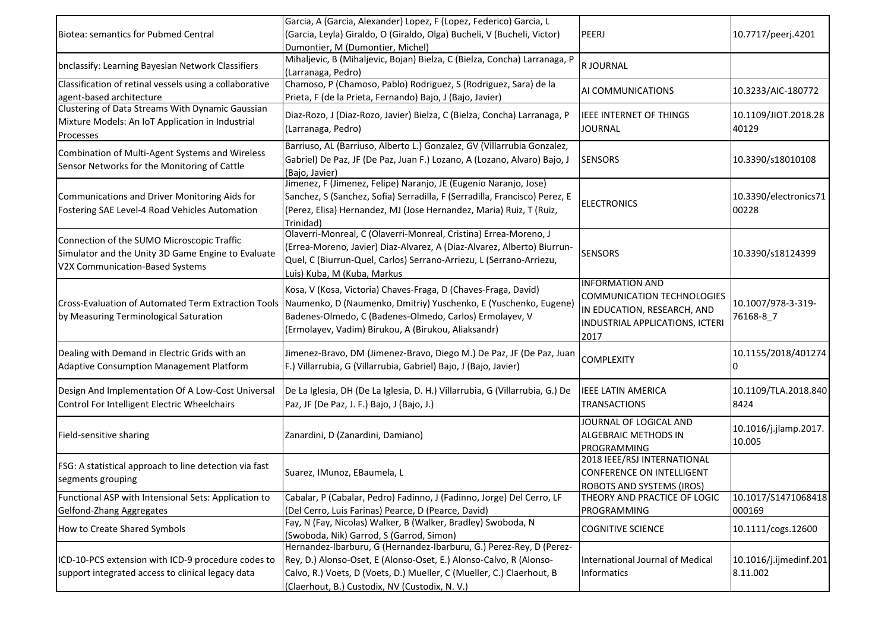| Biotea: semantics for Pubmed Central                                                                                                | Garcia, A (Garcia, Alexander) Lopez, F (Lopez, Federico) Garcia, L<br>(Garcia, Leyla) Giraldo, O (Giraldo, Olga) Bucheli, V (Bucheli, Victor)<br>Dumontier, M (Dumontier, Michel)                                                                                                                          | PEERJ                                                                                                                          | 10.7717/peerj.4201                 |
|-------------------------------------------------------------------------------------------------------------------------------------|------------------------------------------------------------------------------------------------------------------------------------------------------------------------------------------------------------------------------------------------------------------------------------------------------------|--------------------------------------------------------------------------------------------------------------------------------|------------------------------------|
| bnclassify: Learning Bayesian Network Classifiers                                                                                   | Mihaljevic, B (Mihaljevic, Bojan) Bielza, C (Bielza, Concha) Larranaga, P<br>(Larranaga, Pedro)                                                                                                                                                                                                            | R JOURNAL                                                                                                                      |                                    |
| Classification of retinal vessels using a collaborative<br>agent-based architecture                                                 | Chamoso, P (Chamoso, Pablo) Rodriguez, S (Rodriguez, Sara) de la<br>Prieta, F (de la Prieta, Fernando) Bajo, J (Bajo, Javier)                                                                                                                                                                              | AI COMMUNICATIONS                                                                                                              | 10.3233/AIC-180772                 |
| Clustering of Data Streams With Dynamic Gaussian<br>Mixture Models: An IoT Application in Industrial<br>Processes                   | Diaz-Rozo, J (Diaz-Rozo, Javier) Bielza, C (Bielza, Concha) Larranaga, P<br>(Larranaga, Pedro)                                                                                                                                                                                                             | <b>IEEE INTERNET OF THINGS</b><br><b>JOURNAL</b>                                                                               | 10.1109/JIOT.2018.28<br>40129      |
| Combination of Multi-Agent Systems and Wireless<br>Sensor Networks for the Monitoring of Cattle                                     | Barriuso, AL (Barriuso, Alberto L.) Gonzalez, GV (Villarrubia Gonzalez,<br>Gabriel) De Paz, JF (De Paz, Juan F.) Lozano, A (Lozano, Alvaro) Bajo, J<br>(Bajo, Javier)                                                                                                                                      | <b>SENSORS</b>                                                                                                                 | 10.3390/s18010108                  |
| Communications and Driver Monitoring Aids for<br>Fostering SAE Level-4 Road Vehicles Automation                                     | Jimenez, F (Jimenez, Felipe) Naranjo, JE (Eugenio Naranjo, Jose)<br>Sanchez, S (Sanchez, Sofia) Serradilla, F (Serradilla, Francisco) Perez, E<br>(Perez, Elisa) Hernandez, MJ (Jose Hernandez, Maria) Ruiz, T (Ruiz,<br>Trinidad)                                                                         | <b>ELECTRONICS</b>                                                                                                             | 10.3390/electronics71<br>00228     |
| Connection of the SUMO Microscopic Traffic<br>Simulator and the Unity 3D Game Engine to Evaluate<br>V2X Communication-Based Systems | Olaverri-Monreal, C (Olaverri-Monreal, Cristina) Errea-Moreno, J<br>(Errea-Moreno, Javier) Diaz-Alvarez, A (Diaz-Alvarez, Alberto) Biurrun-<br>Quel, C (Biurrun-Quel, Carlos) Serrano-Arriezu, L (Serrano-Arriezu,<br>Luis) Kuba, M (Kuba, Markus                                                          | <b>SENSORS</b>                                                                                                                 | 10.3390/s18124399                  |
| by Measuring Terminological Saturation                                                                                              | Kosa, V (Kosa, Victoria) Chaves-Fraga, D (Chaves-Fraga, David)<br>Cross-Evaluation of Automated Term Extraction Tools   Naumenko, D (Naumenko, Dmitriy) Yuschenko, E (Yuschenko, Eugene)<br>Badenes-Olmedo, C (Badenes-Olmedo, Carlos) Ermolayev, V<br>(Ermolayev, Vadim) Birukou, A (Birukou, Aliaksandr) | <b>INFORMATION AND</b><br>COMMUNICATION TECHNOLOGIES<br>IN EDUCATION, RESEARCH, AND<br>INDUSTRIAL APPLICATIONS, ICTERI<br>2017 | 10.1007/978-3-319-<br>76168-8_7    |
| Dealing with Demand in Electric Grids with an<br>Adaptive Consumption Management Platform                                           | Jimenez-Bravo, DM (Jimenez-Bravo, Diego M.) De Paz, JF (De Paz, Juan<br>F.) Villarrubia, G (Villarrubia, Gabriel) Bajo, J (Bajo, Javier)                                                                                                                                                                   | <b>COMPLEXITY</b>                                                                                                              | 10.1155/2018/401274<br>10          |
| Design And Implementation Of A Low-Cost Universal<br>Control For Intelligent Electric Wheelchairs                                   | De La Iglesia, DH (De La Iglesia, D. H.) Villarrubia, G (Villarrubia, G.) De<br>Paz, JF (De Paz, J. F.) Bajo, J (Bajo, J.)                                                                                                                                                                                 | <b>IEEE LATIN AMERICA</b><br><b>TRANSACTIONS</b>                                                                               | 10.1109/TLA.2018.840<br>8424       |
| Field-sensitive sharing                                                                                                             | Zanardini, D (Zanardini, Damiano)                                                                                                                                                                                                                                                                          | JOURNAL OF LOGICAL AND<br><b>ALGEBRAIC METHODS IN</b><br>PROGRAMMING                                                           | 10.1016/j.jlamp.2017.<br>10.005    |
| FSG: A statistical approach to line detection via fast<br>segments grouping                                                         | Suarez, IMunoz, EBaumela, L                                                                                                                                                                                                                                                                                | 2018 IEEE/RSJ INTERNATIONAL<br>CONFERENCE ON INTELLIGENT<br>ROBOTS AND SYSTEMS (IROS)                                          |                                    |
| Functional ASP with Intensional Sets: Application to<br>Gelfond-Zhang Aggregates                                                    | Cabalar, P (Cabalar, Pedro) Fadinno, J (Fadinno, Jorge) Del Cerro, LF<br>(Del Cerro, Luis Farinas) Pearce, D (Pearce, David)                                                                                                                                                                               | THEORY AND PRACTICE OF LOGIC<br>PROGRAMMING                                                                                    | 10.1017/S1471068418<br>000169      |
| How to Create Shared Symbols                                                                                                        | Fay, N (Fay, Nicolas) Walker, B (Walker, Bradley) Swoboda, N<br>(Swoboda, Nik) Garrod, S (Garrod, Simon)                                                                                                                                                                                                   | <b>COGNITIVE SCIENCE</b>                                                                                                       | 10.1111/cogs.12600                 |
| ICD-10-PCS extension with ICD-9 procedure codes to<br>support integrated access to clinical legacy data                             | Hernandez-Ibarburu, G (Hernandez-Ibarburu, G.) Perez-Rey, D (Perez-<br>Rey, D.) Alonso-Oset, E (Alonso-Oset, E.) Alonso-Calvo, R (Alonso-<br>Calvo, R.) Voets, D (Voets, D.) Mueller, C (Mueller, C.) Claerhout, B<br>(Claerhout, B.) Custodix, NV (Custodix, N. V.)                                       | International Journal of Medical<br><b>Informatics</b>                                                                         | 10.1016/j.ijmedinf.201<br>8.11.002 |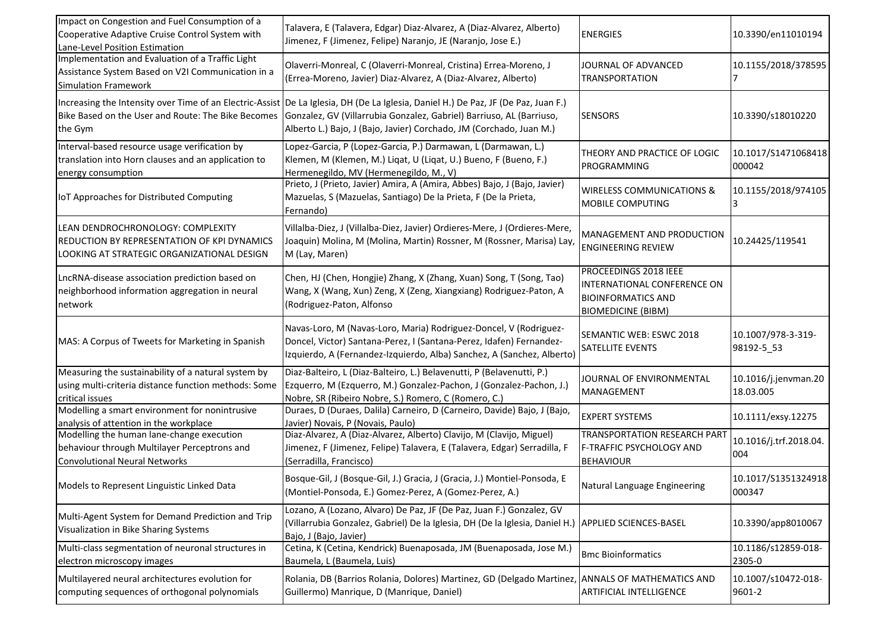| Impact on Congestion and Fuel Consumption of a<br>Cooperative Adaptive Cruise Control System with<br>Lane-Level Position Estimation  | Talavera, E (Talavera, Edgar) Diaz-Alvarez, A (Diaz-Alvarez, Alberto)<br>Jimenez, F (Jimenez, Felipe) Naranjo, JE (Naranjo, Jose E.)                                                                                                                                                                                                   | <b>ENERGIES</b>                                                                                                | 10.3390/en11010194                |
|--------------------------------------------------------------------------------------------------------------------------------------|----------------------------------------------------------------------------------------------------------------------------------------------------------------------------------------------------------------------------------------------------------------------------------------------------------------------------------------|----------------------------------------------------------------------------------------------------------------|-----------------------------------|
| Implementation and Evaluation of a Traffic Light<br>Assistance System Based on V2I Communication in a<br><b>Simulation Framework</b> | Olaverri-Monreal, C (Olaverri-Monreal, Cristina) Errea-Moreno, J<br>(Errea-Moreno, Javier) Diaz-Alvarez, A (Diaz-Alvarez, Alberto)                                                                                                                                                                                                     | JOURNAL OF ADVANCED<br>TRANSPORTATION                                                                          | 10.1155/2018/378595               |
| the Gym                                                                                                                              | Increasing the Intensity over Time of an Electric-Assist De La Iglesia, DH (De La Iglesia, Daniel H.) De Paz, JF (De Paz, Juan F.)<br>Bike Based on the User and Route: The Bike Becomes   Gonzalez, GV (Villarrubia Gonzalez, Gabriel) Barriuso, AL (Barriuso,<br>Alberto L.) Bajo, J (Bajo, Javier) Corchado, JM (Corchado, Juan M.) | <b>SENSORS</b>                                                                                                 | 10.3390/s18010220                 |
| Interval-based resource usage verification by<br>translation into Horn clauses and an application to<br>energy consumption           | Lopez-Garcia, P (Lopez-Garcia, P.) Darmawan, L (Darmawan, L.)<br>Klemen, M (Klemen, M.) Liqat, U (Liqat, U.) Bueno, F (Bueno, F.)<br>Hermenegildo, MV (Hermenegildo, M., V)                                                                                                                                                            | THEORY AND PRACTICE OF LOGIC<br>PROGRAMMING                                                                    | 10.1017/S1471068418<br>000042     |
| IoT Approaches for Distributed Computing                                                                                             | Prieto, J (Prieto, Javier) Amira, A (Amira, Abbes) Bajo, J (Bajo, Javier)<br>Mazuelas, S (Mazuelas, Santiago) De la Prieta, F (De la Prieta,<br>Fernando)                                                                                                                                                                              | <b>WIRELESS COMMUNICATIONS &amp;</b><br>MOBILE COMPUTING                                                       | 10.1155/2018/974105<br>3          |
| LEAN DENDROCHRONOLOGY: COMPLEXITY<br>REDUCTION BY REPRESENTATION OF KPI DYNAMICS<br>LOOKING AT STRATEGIC ORGANIZATIONAL DESIGN       | Villalba-Diez, J (Villalba-Diez, Javier) Ordieres-Mere, J (Ordieres-Mere,<br>Joaquin) Molina, M (Molina, Martin) Rossner, M (Rossner, Marisa) Lay,<br>M (Lay, Maren)                                                                                                                                                                   | MANAGEMENT AND PRODUCTION<br><b>ENGINEERING REVIEW</b>                                                         | 10.24425/119541                   |
| LncRNA-disease association prediction based on<br>neighborhood information aggregation in neural<br>network                          | Chen, HJ (Chen, Hongjie) Zhang, X (Zhang, Xuan) Song, T (Song, Tao)<br>Wang, X (Wang, Xun) Zeng, X (Zeng, Xiangxiang) Rodriguez-Paton, A<br>(Rodriguez-Paton, Alfonso                                                                                                                                                                  | PROCEEDINGS 2018 IEEE<br>INTERNATIONAL CONFERENCE ON<br><b>BIOINFORMATICS AND</b><br><b>BIOMEDICINE (BIBM)</b> |                                   |
| MAS: A Corpus of Tweets for Marketing in Spanish                                                                                     | Navas-Loro, M (Navas-Loro, Maria) Rodriguez-Doncel, V (Rodriguez-<br>Doncel, Victor) Santana-Perez, I (Santana-Perez, Idafen) Fernandez-<br>Izquierdo, A (Fernandez-Izquierdo, Alba) Sanchez, A (Sanchez, Alberto)                                                                                                                     | SEMANTIC WEB: ESWC 2018<br>SATELLITE EVENTS                                                                    | 10.1007/978-3-319-<br>98192-5_53  |
| Measuring the sustainability of a natural system by<br>using multi-criteria distance function methods: Some<br>critical issues       | Diaz-Balteiro, L (Diaz-Balteiro, L.) Belavenutti, P (Belavenutti, P.)<br>Ezquerro, M (Ezquerro, M.) Gonzalez-Pachon, J (Gonzalez-Pachon, J.)<br>Nobre, SR (Ribeiro Nobre, S.) Romero, C (Romero, C.)                                                                                                                                   | JOURNAL OF ENVIRONMENTAL<br>MANAGEMENT                                                                         | 10.1016/j.jenvman.20<br>18.03.005 |
| Modelling a smart environment for nonintrusive<br>analysis of attention in the workplace                                             | Duraes, D (Duraes, Dalila) Carneiro, D (Carneiro, Davide) Bajo, J (Bajo,<br>Javier) Novais, P (Novais, Paulo)                                                                                                                                                                                                                          | <b>EXPERT SYSTEMS</b>                                                                                          | 10.1111/exsy.12275                |
| Modelling the human lane-change execution<br>behaviour through Multilayer Perceptrons and<br><b>Convolutional Neural Networks</b>    | Diaz-Alvarez, A (Diaz-Alvarez, Alberto) Clavijo, M (Clavijo, Miguel)<br>Jimenez, F (Jimenez, Felipe) Talavera, E (Talavera, Edgar) Serradilla, F<br>(Serradilla, Francisco)                                                                                                                                                            | TRANSPORTATION RESEARCH PART<br>F-TRAFFIC PSYCHOLOGY AND<br><b>BEHAVIOUR</b>                                   | 10.1016/j.trf.2018.04.<br>004     |
| Models to Represent Linguistic Linked Data                                                                                           | Bosque-Gil, J (Bosque-Gil, J.) Gracia, J (Gracia, J.) Montiel-Ponsoda, E<br>(Montiel-Ponsoda, E.) Gomez-Perez, A (Gomez-Perez, A.)                                                                                                                                                                                                     | Natural Language Engineering                                                                                   | 10.1017/S1351324918<br>000347     |
| Multi-Agent System for Demand Prediction and Trip<br>Visualization in Bike Sharing Systems                                           | Lozano, A (Lozano, Alvaro) De Paz, JF (De Paz, Juan F.) Gonzalez, GV<br>(Villarrubia Gonzalez, Gabriel) De la Iglesia, DH (De la Iglesia, Daniel H.)  APPLIED SCIENCES-BASEL<br>Bajo, J (Bajo, Javier)                                                                                                                                 |                                                                                                                | 10.3390/app8010067                |
| Multi-class segmentation of neuronal structures in<br>electron microscopy images                                                     | Cetina, K (Cetina, Kendrick) Buenaposada, JM (Buenaposada, Jose M.)<br>Baumela, L (Baumela, Luis)                                                                                                                                                                                                                                      | <b>Bmc Bioinformatics</b>                                                                                      | 10.1186/s12859-018-<br>2305-0     |
| Multilayered neural architectures evolution for<br>computing sequences of orthogonal polynomials                                     | Rolania, DB (Barrios Rolania, Dolores) Martinez, GD (Delgado Martinez, ANNALS OF MATHEMATICS AND<br>Guillermo) Manrique, D (Manrique, Daniel)                                                                                                                                                                                          | ARTIFICIAL INTELLIGENCE                                                                                        | 10.1007/s10472-018-<br>9601-2     |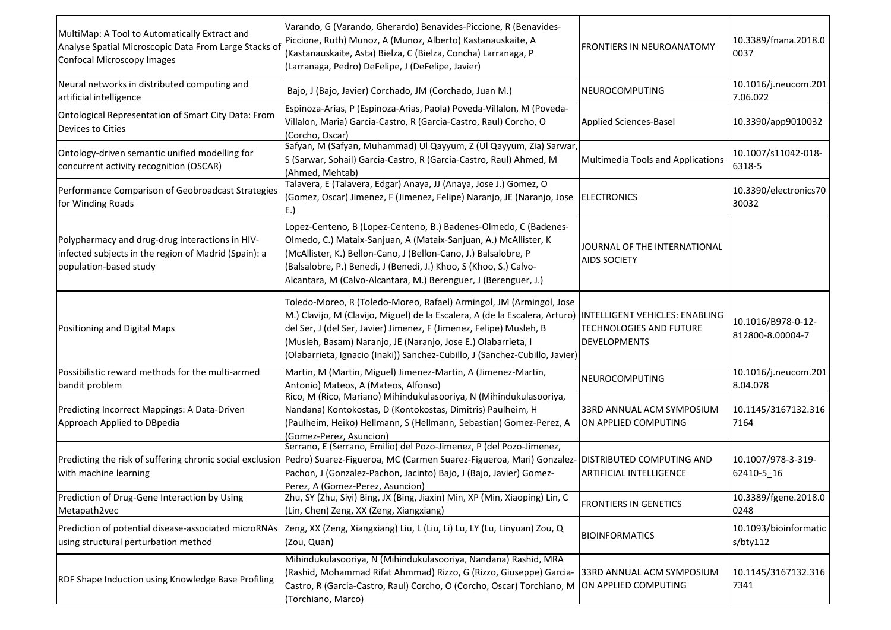| MultiMap: A Tool to Automatically Extract and<br>Analyse Spatial Microscopic Data From Large Stacks of<br><b>Confocal Microscopy Images</b> | Varando, G (Varando, Gherardo) Benavides-Piccione, R (Benavides-<br>Piccione, Ruth) Munoz, A (Munoz, Alberto) Kastanauskaite, A<br>(Kastanauskaite, Asta) Bielza, C (Bielza, Concha) Larranaga, P<br>(Larranaga, Pedro) DeFelipe, J (DeFelipe, Javier)                                                                                                                    | FRONTIERS IN NEUROANATOMY                                                               | 10.3389/fnana.2018.0<br>0037           |
|---------------------------------------------------------------------------------------------------------------------------------------------|---------------------------------------------------------------------------------------------------------------------------------------------------------------------------------------------------------------------------------------------------------------------------------------------------------------------------------------------------------------------------|-----------------------------------------------------------------------------------------|----------------------------------------|
| Neural networks in distributed computing and<br>artificial intelligence                                                                     | Bajo, J (Bajo, Javier) Corchado, JM (Corchado, Juan M.)                                                                                                                                                                                                                                                                                                                   | NEUROCOMPUTING                                                                          | 10.1016/j.neucom.201<br>7.06.022       |
| Ontological Representation of Smart City Data: From<br>Devices to Cities                                                                    | Espinoza-Arias, P (Espinoza-Arias, Paola) Poveda-Villalon, M (Poveda-<br>Villalon, Maria) Garcia-Castro, R (Garcia-Castro, Raul) Corcho, O<br>(Corcho, Oscar)                                                                                                                                                                                                             | <b>Applied Sciences-Basel</b>                                                           | 10.3390/app9010032                     |
| Ontology-driven semantic unified modelling for<br>concurrent activity recognition (OSCAR)                                                   | Safyan, M (Safyan, Muhammad) Ul Qayyum, Z (Ul Qayyum, Zia) Sarwar,<br>S (Sarwar, Sohail) Garcia-Castro, R (Garcia-Castro, Raul) Ahmed, M<br>(Ahmed, Mehtab)                                                                                                                                                                                                               | Multimedia Tools and Applications                                                       | 10.1007/s11042-018-<br>6318-5          |
| Performance Comparison of Geobroadcast Strategies<br>for Winding Roads                                                                      | Talavera, E (Talavera, Edgar) Anaya, JJ (Anaya, Jose J.) Gomez, O<br>(Gomez, Oscar) Jimenez, F (Jimenez, Felipe) Naranjo, JE (Naranjo, Jose  ELECTRONICS                                                                                                                                                                                                                  |                                                                                         | 10.3390/electronics70<br>30032         |
| Polypharmacy and drug-drug interactions in HIV-<br>infected subjects in the region of Madrid (Spain): a<br>population-based study           | Lopez-Centeno, B (Lopez-Centeno, B.) Badenes-Olmedo, C (Badenes-<br>Olmedo, C.) Mataix-Sanjuan, A (Mataix-Sanjuan, A.) McAllister, K<br>(McAllister, K.) Bellon-Cano, J (Bellon-Cano, J.) Balsalobre, P<br>(Balsalobre, P.) Benedi, J (Benedi, J.) Khoo, S (Khoo, S.) Calvo-<br>Alcantara, M (Calvo-Alcantara, M.) Berenguer, J (Berenguer, J.)                           | JOURNAL OF THE INTERNATIONAL<br><b>AIDS SOCIETY</b>                                     |                                        |
| Positioning and Digital Maps                                                                                                                | Toledo-Moreo, R (Toledo-Moreo, Rafael) Armingol, JM (Armingol, Jose<br>M.) Clavijo, M (Clavijo, Miguel) de la Escalera, A (de la Escalera, Arturo)<br>del Ser, J (del Ser, Javier) Jimenez, F (Jimenez, Felipe) Musleh, B<br>(Musleh, Basam) Naranjo, JE (Naranjo, Jose E.) Olabarrieta, I<br>(Olabarrieta, Ignacio (Inaki)) Sanchez-Cubillo, J (Sanchez-Cubillo, Javier) | <b>INTELLIGENT VEHICLES: ENABLING</b><br>TECHNOLOGIES AND FUTURE<br><b>DEVELOPMENTS</b> | 10.1016/B978-0-12-<br>812800-8.00004-7 |
| Possibilistic reward methods for the multi-armed<br>bandit problem                                                                          | Martin, M (Martin, Miguel) Jimenez-Martin, A (Jimenez-Martin,<br>Antonio) Mateos, A (Mateos, Alfonso)                                                                                                                                                                                                                                                                     | NEUROCOMPUTING                                                                          | 10.1016/j.neucom.201<br>8.04.078       |
| Predicting Incorrect Mappings: A Data-Driven<br>Approach Applied to DBpedia                                                                 | Rico, M (Rico, Mariano) Mihindukulasooriya, N (Mihindukulasooriya,<br>Nandana) Kontokostas, D (Kontokostas, Dimitris) Paulheim, H<br>(Paulheim, Heiko) Hellmann, S (Hellmann, Sebastian) Gomez-Perez, A<br>(Gomez-Perez, Asuncion)                                                                                                                                        | 33RD ANNUAL ACM SYMPOSIUM<br>ON APPLIED COMPUTING                                       | 10.1145/3167132.316<br>7164            |
| with machine learning                                                                                                                       | Serrano, E (Serrano, Emilio) del Pozo-Jimenez, P (del Pozo-Jimenez,<br>Predicting the risk of suffering chronic social exclusion   Pedro) Suarez-Figueroa, MC (Carmen Suarez-Figueroa, Mari) Gonzalez-   DISTRIBUTED COMPUTING AND<br>Pachon, J (Gonzalez-Pachon, Jacinto) Bajo, J (Bajo, Javier) Gomez-<br>Perez, A (Gomez-Perez, Asuncion)                              | <b>ARTIFICIAL INTELLIGENCE</b>                                                          | 10.1007/978-3-319-<br>62410-5_16       |
| Prediction of Drug-Gene Interaction by Using<br>Metapath2vec                                                                                | Zhu, SY (Zhu, Siyi) Bing, JX (Bing, Jiaxin) Min, XP (Min, Xiaoping) Lin, C<br>(Lin, Chen) Zeng, XX (Zeng, Xiangxiang)                                                                                                                                                                                                                                                     | FRONTIERS IN GENETICS                                                                   | 10.3389/fgene.2018.0<br>0248           |
| Prediction of potential disease-associated microRNAs<br>using structural perturbation method                                                | Zeng, XX (Zeng, Xiangxiang) Liu, L (Liu, Li) Lu, LY (Lu, Linyuan) Zou, Q<br>(Zou, Quan)                                                                                                                                                                                                                                                                                   | <b>BIOINFORMATICS</b>                                                                   | 10.1093/bioinformatic<br>s/bty112      |
| RDF Shape Induction using Knowledge Base Profiling                                                                                          | Mihindukulasooriya, N (Mihindukulasooriya, Nandana) Rashid, MRA<br>(Rashid, Mohammad Rifat Ahmmad) Rizzo, G (Rizzo, Giuseppe) Garcia- 33RD ANNUAL ACM SYMPOSIUM<br>Castro, R (Garcia-Castro, Raul) Corcho, O (Corcho, Oscar) Torchiano, M  ON APPLIED COMPUTING<br>(Torchiano, Marco)                                                                                     |                                                                                         | 10.1145/3167132.316<br>7341            |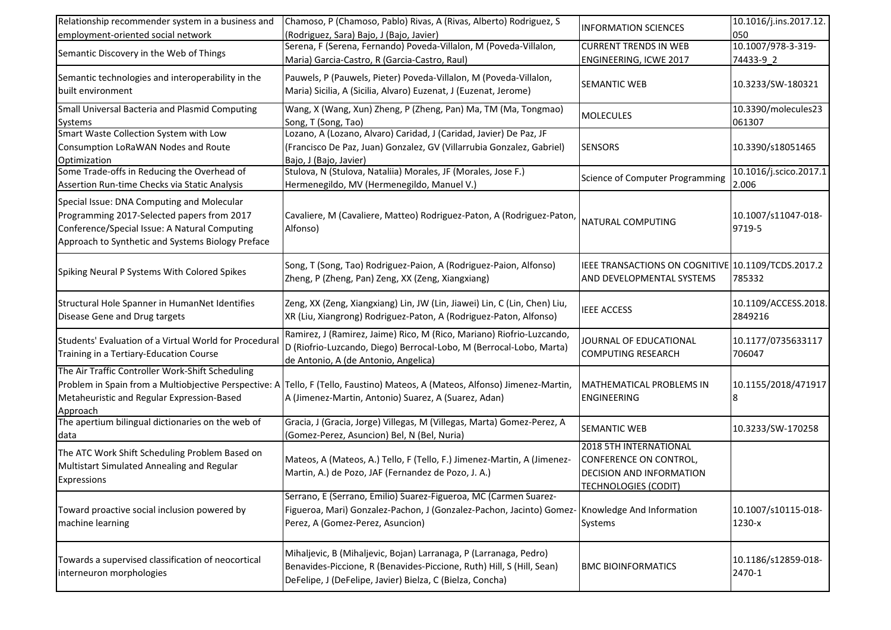| Relationship recommender system in a business and<br>employment-oriented social network                                                                                                        | Chamoso, P (Chamoso, Pablo) Rivas, A (Rivas, Alberto) Rodriguez, S<br>(Rodriguez, Sara) Bajo, J (Bajo, Javier)                                                                                          | <b>INFORMATION SCIENCES</b>                                                                                 | 10.1016/j.ins.2017.12.<br>050   |
|------------------------------------------------------------------------------------------------------------------------------------------------------------------------------------------------|---------------------------------------------------------------------------------------------------------------------------------------------------------------------------------------------------------|-------------------------------------------------------------------------------------------------------------|---------------------------------|
| Semantic Discovery in the Web of Things                                                                                                                                                        | Serena, F (Serena, Fernando) Poveda-Villalon, M (Poveda-Villalon,<br>Maria) Garcia-Castro, R (Garcia-Castro, Raul)                                                                                      | <b>CURRENT TRENDS IN WEB</b><br>ENGINEERING, ICWE 2017                                                      | 10.1007/978-3-319-<br>74433-9_2 |
| Semantic technologies and interoperability in the<br>built environment                                                                                                                         | Pauwels, P (Pauwels, Pieter) Poveda-Villalon, M (Poveda-Villalon,<br>Maria) Sicilia, A (Sicilia, Alvaro) Euzenat, J (Euzenat, Jerome)                                                                   | SEMANTIC WEB                                                                                                | 10.3233/SW-180321               |
| Small Universal Bacteria and Plasmid Computing<br>Systems                                                                                                                                      | Wang, X (Wang, Xun) Zheng, P (Zheng, Pan) Ma, TM (Ma, Tongmao)<br>Song, T (Song, Tao)                                                                                                                   | <b>MOLECULES</b>                                                                                            | 10.3390/molecules23<br>061307   |
| Smart Waste Collection System with Low<br>Consumption LoRaWAN Nodes and Route<br>Optimization                                                                                                  | Lozano, A (Lozano, Alvaro) Caridad, J (Caridad, Javier) De Paz, JF<br>(Francisco De Paz, Juan) Gonzalez, GV (Villarrubia Gonzalez, Gabriel)<br>Bajo, J (Bajo, Javier)                                   | <b>SENSORS</b>                                                                                              | 10.3390/s18051465               |
| Some Trade-offs in Reducing the Overhead of<br>Assertion Run-time Checks via Static Analysis                                                                                                   | Stulova, N (Stulova, Nataliia) Morales, JF (Morales, Jose F.)<br>Hermenegildo, MV (Hermenegildo, Manuel V.)                                                                                             | <b>Science of Computer Programming</b>                                                                      | 10.1016/j.scico.2017.1<br>2.006 |
| Special Issue: DNA Computing and Molecular<br>Programming 2017-Selected papers from 2017<br>Conference/Special Issue: A Natural Computing<br>Approach to Synthetic and Systems Biology Preface | Cavaliere, M (Cavaliere, Matteo) Rodriguez-Paton, A (Rodriguez-Paton,<br>Alfonso)                                                                                                                       | NATURAL COMPUTING                                                                                           | 10.1007/s11047-018-<br>9719-5   |
| Spiking Neural P Systems With Colored Spikes                                                                                                                                                   | Song, T (Song, Tao) Rodriguez-Paion, A (Rodriguez-Paion, Alfonso)<br>Zheng, P (Zheng, Pan) Zeng, XX (Zeng, Xiangxiang)                                                                                  | IEEE TRANSACTIONS ON COGNITIVE 10.1109/TCDS.2017.2<br>AND DEVELOPMENTAL SYSTEMS                             | 785332                          |
| Structural Hole Spanner in HumanNet Identifies<br>Disease Gene and Drug targets                                                                                                                | Zeng, XX (Zeng, Xiangxiang) Lin, JW (Lin, Jiawei) Lin, C (Lin, Chen) Liu,<br>XR (Liu, Xiangrong) Rodriguez-Paton, A (Rodriguez-Paton, Alfonso)                                                          | <b>IEEE ACCESS</b>                                                                                          | 10.1109/ACCESS.2018.<br>2849216 |
| Students' Evaluation of a Virtual World for Procedural<br>Training in a Tertiary-Education Course                                                                                              | Ramirez, J (Ramirez, Jaime) Rico, M (Rico, Mariano) Riofrio-Luzcando,<br>D (Riofrio-Luzcando, Diego) Berrocal-Lobo, M (Berrocal-Lobo, Marta)<br>de Antonio, A (de Antonio, Angelica)                    | JOURNAL OF EDUCATIONAL<br><b>COMPUTING RESEARCH</b>                                                         | 10.1177/0735633117<br>706047    |
| The Air Traffic Controller Work-Shift Scheduling<br>Metaheuristic and Regular Expression-Based<br>Approach                                                                                     | Problem in Spain from a Multiobjective Perspective: A Tello, F (Tello, Faustino) Mateos, A (Mateos, Alfonso) Jimenez-Martin,<br>A (Jimenez-Martin, Antonio) Suarez, A (Suarez, Adan)                    | <b>MATHEMATICAL PROBLEMS IN</b><br><b>ENGINEERING</b>                                                       | 10.1155/2018/471917<br>8        |
| The apertium bilingual dictionaries on the web of<br>data                                                                                                                                      | Gracia, J (Gracia, Jorge) Villegas, M (Villegas, Marta) Gomez-Perez, A<br>(Gomez-Perez, Asuncion) Bel, N (Bel, Nuria)                                                                                   | SEMANTIC WEB                                                                                                | 10.3233/SW-170258               |
| The ATC Work Shift Scheduling Problem Based on<br>Multistart Simulated Annealing and Regular<br>Expressions                                                                                    | Mateos, A (Mateos, A.) Tello, F (Tello, F.) Jimenez-Martin, A (Jimenez-<br>Martin, A.) de Pozo, JAF (Fernandez de Pozo, J. A.)                                                                          | 2018 5TH INTERNATIONAL<br>CONFERENCE ON CONTROL,<br>DECISION AND INFORMATION<br><b>TECHNOLOGIES (CODIT)</b> |                                 |
| Toward proactive social inclusion powered by<br>machine learning                                                                                                                               | Serrano, E (Serrano, Emilio) Suarez-Figueroa, MC (Carmen Suarez-<br>Figueroa, Mari) Gonzalez-Pachon, J (Gonzalez-Pachon, Jacinto) Gomez- Knowledge And Information<br>Perez, A (Gomez-Perez, Asuncion)  | Systems                                                                                                     | 10.1007/s10115-018-<br>1230-x   |
| Towards a supervised classification of neocortical<br>interneuron morphologies                                                                                                                 | Mihaljevic, B (Mihaljevic, Bojan) Larranaga, P (Larranaga, Pedro)<br>Benavides-Piccione, R (Benavides-Piccione, Ruth) Hill, S (Hill, Sean)<br>DeFelipe, J (DeFelipe, Javier) Bielza, C (Bielza, Concha) | <b>BMC BIOINFORMATICS</b>                                                                                   | 10.1186/s12859-018-<br>2470-1   |